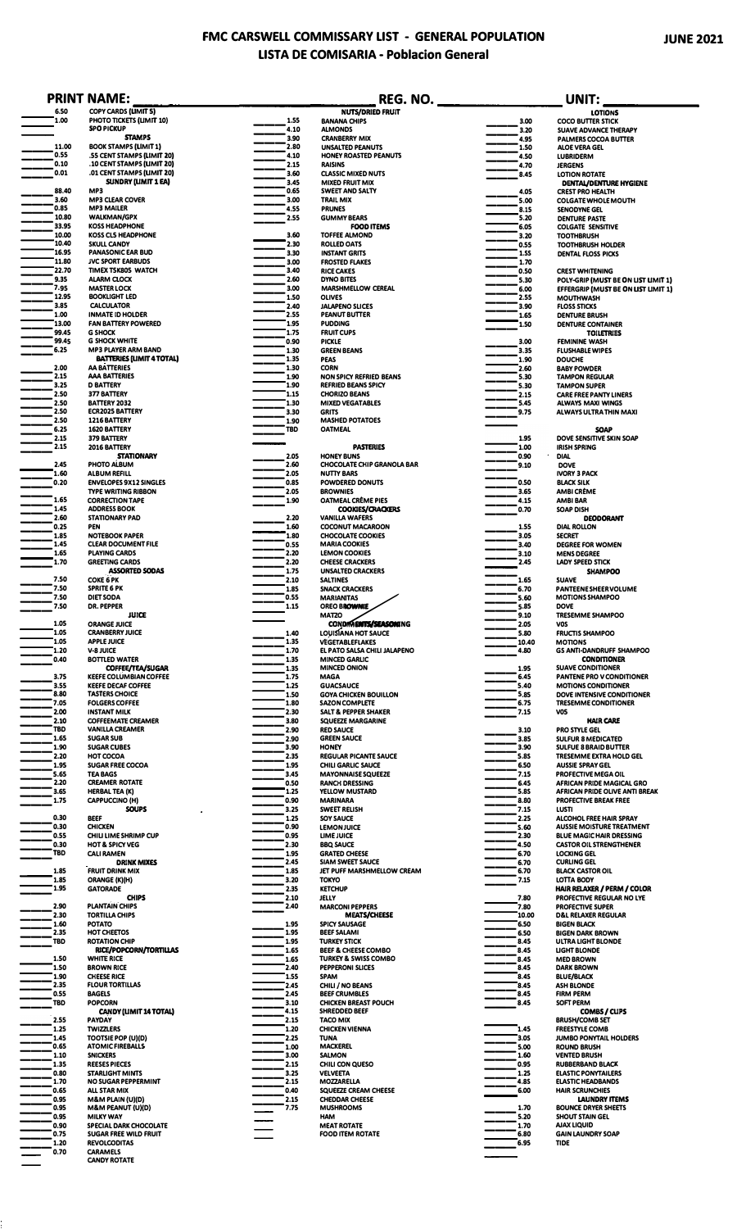## **FMC CARSWELL COMMISSARY LIST - GENERAL POPULATION JUNE 2021 LISTA DE COMISARIA - Poblacion General**

|                    | <b>PRINT NAME:</b>                                          |              |                                                        | REG. NO. The contract of the contract of the contract of the contract of the contract of the contract of the contract of the contract of the contract of the contract of the contract of the contract of the contract of the c | UNIT:                                                             |
|--------------------|-------------------------------------------------------------|--------------|--------------------------------------------------------|--------------------------------------------------------------------------------------------------------------------------------------------------------------------------------------------------------------------------------|-------------------------------------------------------------------|
| 6.50<br>1.00       | COPY CARDS (LIMIT 5)<br>PHOTO TICKETS (LIMIT 10)            | 1.55         | <b>NUTS/DRIED FRUIT</b><br><b>BANANA CHIPS</b>         | 3.00                                                                                                                                                                                                                           | LOTIONS<br><b>COCO BUTTER STICK</b>                               |
|                    | <b>SPO PICKUP</b>                                           | 4.10         | <b>ALMONDS</b>                                         | 3.20                                                                                                                                                                                                                           | <b>SUAVE ADVANCE THERAPY</b>                                      |
| 11.00              | <b>STAMPS</b><br><b>BOOK STAMPS (LIMIT 1)</b>               | 3.90<br>2.80 | <b>CRANBERRY MIX</b><br><b>UNSALTED PEANUTS</b>        | 4.95<br>1.50                                                                                                                                                                                                                   | PALMERS COCOA BUTTER<br>ALOE VERA GEL                             |
| 0.55               | .55 CENT STAMPS (LIMIT 20)                                  | 4.10         | HONEY ROASTED PEANUTS                                  | 4.50                                                                                                                                                                                                                           | <b>LUBRIDERM</b>                                                  |
| 0.10<br>0.01       | .10 CENT STAMPS (LIMIT 20)<br>.01 CENT STAMPS (LIMIT 20)    | 2.15         | <b>RAISINS</b>                                         | 4.70                                                                                                                                                                                                                           | <b>JERGENS</b>                                                    |
|                    | SUNDRY (LIMIT 1 EA)                                         | 3.60<br>3.45 | <b>CLASSIC MIXED NUTS</b><br><b>MIXED FRUIT MIX</b>    | 8.45                                                                                                                                                                                                                           | <b>LOTION ROTATE</b><br><b>DENTAL/DENTURE HYGIENE</b>             |
| 88.40              | MP3                                                         | 0.65         | SWEET AND SALTY                                        | 4.05                                                                                                                                                                                                                           | <b>CREST PRO HEALTH</b>                                           |
| 3.60<br>0.85       | <b>MP3 CLEAR COVER</b><br><b>MP3 MAILER</b>                 | 3.00<br>4.55 | <b>TRAIL MIX</b><br><b>PRUNES</b>                      | 5.00<br>8.15                                                                                                                                                                                                                   | <b>COLGATE WHOLE MOUTH</b><br>SENODYNE GEL                        |
| 10.80              | <b>WALKMAN/GPX</b>                                          | 2.55         | <b>GUMMY BEARS</b>                                     | 5.20                                                                                                                                                                                                                           | <b>DENTURE PASTE</b>                                              |
| 33.95<br>10.00     | <b>KOSS HEADPHONE</b><br><b>KOSS CLS HEADPHONE</b>          | 3.60         | <b>FOOD ITEMS</b><br><b>TOFFEE ALMOND</b>              | 6.05<br>3.20                                                                                                                                                                                                                   | <b>COLGATE SENSITIVE</b><br><b>TOOTHBRUSH</b>                     |
| 10.40              | <b>SKULL CANDY</b>                                          | 2.30         | <b>ROLLED OATS</b>                                     | 0.55                                                                                                                                                                                                                           | <b>TOOTHBRUSH HOLDER</b>                                          |
| 16.95<br>11.80     | <b>PANASONIC EAR BUD</b><br><b>JVC SPORT EARBUDS</b>        | 3.30<br>3.00 | <b>INSTANT GRITS</b><br><b>FROSTED FLAKES</b>          | 1.55<br>1.70                                                                                                                                                                                                                   | <b>DENTAL FLOSS PICKS</b>                                         |
| 22.70              | TIMEX T5K805 WATCH                                          | 3.40         | <b>RICE CAKES</b>                                      | 0.50                                                                                                                                                                                                                           | <b>CREST WHITENING</b>                                            |
| 9.35               | <b>ALARM CLOCK</b>                                          | 2.60         | <b>DYNO BITES</b>                                      | 5.30                                                                                                                                                                                                                           | POLY-GRIP (MUST BE ON LIST LIMIT 1)                               |
| 7.95<br>12.95      | <b>MASTER LOCK</b><br><b>BOOKLIGHT LED</b>                  | 3.00<br>1.50 | MARSHMELLOW CEREAL<br><b>OLIVES</b>                    | 6.00<br>2.55                                                                                                                                                                                                                   | EFFERGRIP (MUST BE ON LIST LIMIT 1)<br><b>MOUTHWASH</b>           |
| 3.85               | <b>CALCULATOR</b>                                           | 2.40         | <b>JALAPENO SLICES</b>                                 | 3.90                                                                                                                                                                                                                           | <b>FLOSS STICKS</b>                                               |
| 1.00<br>13.00      | <b>INMATE ID HOLDER</b><br><b>FAN BATTERY POWERED</b>       | 2.55<br>1.95 | <b>PEANUT BUTTER</b><br><b>PUDDING</b>                 | 1.65<br>1.50                                                                                                                                                                                                                   | <b>DENTURE BRUSH</b><br><b>DENTURE CONTAINER</b>                  |
| 99.45              | <b>G SHOCK</b>                                              | 1.75         | <b>FRUIT CUPS</b>                                      |                                                                                                                                                                                                                                | <b>TOILETRIES</b>                                                 |
| 99,45<br>6.25      | <b>G SHOCK WHITE</b><br><b>MP3 PLAYER ARM BAND</b>          | 0.90<br>1.30 | <b>PICKLE</b><br><b>GREEN BEANS</b>                    | 3.00<br>3.35                                                                                                                                                                                                                   | <b>FEMININE WASH</b><br><b>FLUSHABLE WIPES</b>                    |
|                    | <b>BATTERIES (LIMIT 4 TOTAL)</b>                            | 1.35         | <b>PEAS</b>                                            | 1.90                                                                                                                                                                                                                           | <b>DOUCHE</b>                                                     |
| 2.00<br>2.15       | AA BATTERIES<br><b>AAA BATTERIES</b>                        | 1.30<br>1.90 | <b>CORN</b><br><b>NON SPICY REFRIED BEANS</b>          | 2.60                                                                                                                                                                                                                           | <b>BABY POWDER</b>                                                |
| 3.25               | <b>D BATTERY</b>                                            | 1.90         | <b>REFRIED BEANS SPICY</b>                             | 5.30<br>5.30                                                                                                                                                                                                                   | <b>TAMPON REGULAR</b><br><b>TAMPON SUPER</b>                      |
| 2.50<br>2.50       | 377 BATTERY                                                 | 1.15<br>1.30 | <b>CHORIZO BEANS</b><br><b>MIXED VEGATABLES</b>        | 2.15                                                                                                                                                                                                                           | <b>CARE FREE PANTY LINERS</b>                                     |
| 2.50               | BATTERY 2032<br><b>ECR2025 BATTERY</b>                      | 3.30         | <b>GRITS</b>                                           | 5.45<br>9.75                                                                                                                                                                                                                   | <b>ALWAYS MAXI WINGS</b><br><b>ALWAYS ULTRA THIN MAXI</b>         |
| 2.50               | 1216 BATTERY                                                | 1.90         | <b>MASHED POTATOES</b>                                 |                                                                                                                                                                                                                                |                                                                   |
| 6.25<br>2.15       | 1620 BATTERY<br>379 BATTERY                                 | <b>TBD</b>   | <b>OATMEAL</b>                                         | 1.95                                                                                                                                                                                                                           | <b>SOAP</b><br>DOVE SENSITIVE SKIN SOAP                           |
| 2.15               | 2016 BATTERY                                                |              | <b>PASTERIES</b>                                       | 1.00                                                                                                                                                                                                                           | <b>IRISH SPRING</b>                                               |
| 2.45               | <b>STATIONARY</b><br>PHOTO ALBUM                            | 2.05<br>2.60 | <b>HONEY BUNS</b><br><b>CHOCOLATE CHIP GRANOLA BAR</b> | 0.90<br>9.10                                                                                                                                                                                                                   | <b>DIAL</b><br><b>DOVE</b>                                        |
| 1.60               | <b>ALBUM REFILL</b>                                         | 2.05         | <b>NUTTY BARS</b>                                      |                                                                                                                                                                                                                                | <b>IVORY 3 PACK</b>                                               |
| 0.20               | <b>ENVELOPES 9X12 SINGLES</b><br><b>TYPE WRITING RIBBON</b> | 0.85<br>2.05 | POWDERED DONUTS<br><b>BROWNIES</b>                     | 0.50<br>3.65                                                                                                                                                                                                                   | <b>BLACK SILK</b><br><b>AMBI CRÈME</b>                            |
| 1.65               | <b>CORRECTION TAPE</b>                                      | 1.90         | OATMEAL CREME PIES                                     | 4.15                                                                                                                                                                                                                           | <b>AMBI BAR</b>                                                   |
| 1.45<br>2.60       | <b>ADDRESS BOOK</b><br><b>STATIONARY PAD</b>                | 2.20         | COOKIES/CRACKERS<br><b>VANILLA WAFERS</b>              | 0.70                                                                                                                                                                                                                           | <b>SOAP DISH</b><br><b>DEODORANT</b>                              |
| 0.25               | <b>PEN</b>                                                  | 1.60         | <b>COCONUT MACAROON</b>                                | 1.55                                                                                                                                                                                                                           | <b>DIAL ROLLON</b>                                                |
| 1.85<br>1.45       | <b>NOTEBOOK PAPER</b><br><b>CLEAR DOCUMENT FILE</b>         | 1.80<br>0.55 | <b>CHOCOLATE COOKIES</b><br><b>MARIA COOKIES</b>       | 3.05<br>3.40                                                                                                                                                                                                                   | <b>SECRET</b><br><b>DEGREE FOR WOMEN</b>                          |
| 1.65               | <b>PLAYING CARDS</b>                                        | 2.20         | <b>LEMON COOKIES</b>                                   | 3.10                                                                                                                                                                                                                           | <b>MENS DEGREE</b>                                                |
| 1.70               | <b>GREETING CARDS</b><br><b>ASSORTED SODAS</b>              | 2.20<br>1.75 | <b>CHEESE CRACKERS</b><br><b>UNSALTED CRACKERS</b>     | 2.45                                                                                                                                                                                                                           | <b>LADY SPEED STICK</b><br><b>SHAMPOO</b>                         |
| 7.50               | <b>COKE 6 PK</b>                                            | 2.10         | <b>SALTINES</b>                                        | 1.65                                                                                                                                                                                                                           | <b>SUAVE</b>                                                      |
| 7.50<br>7.50       | <b>SPRITE 6 PK</b><br>DIET SODA                             | 1.85<br>0.55 | <b>SNACK CRACKERS</b>                                  | 6.70<br>5.60                                                                                                                                                                                                                   | PANTEENE SHEER VOLUME                                             |
| 7.50               | <b>DR. PEPPER</b>                                           | 1.15         | <b>MARIANITAS</b><br><b>OREO BROWNIE</b>               | 5.85                                                                                                                                                                                                                           | <b>MOTIONS SHAMPOO</b><br><b>DOVE</b>                             |
| 1.05               | <b>JUICE</b>                                                |              | <b>MATZO</b>                                           | 9.10                                                                                                                                                                                                                           | <b>TRESEMME SHAMPOO</b>                                           |
| 1.05               | <b>ORANGE JUICE</b><br><b>CRANBERRY JUICE</b>               | 1.40         | CONDIMENTS/SEASONING<br>LOUISIANA HOT SAUCE            | 2.05<br>5.80                                                                                                                                                                                                                   | <b>VOS</b><br><b>FRUCTIS SHAMPOO</b>                              |
| 1.05<br>1.20       | <b>APPLE JUICE</b><br>V-8 JUICE                             | 1.35         | VEGETABLEFLAKES                                        | 10.40                                                                                                                                                                                                                          | <b>MOTIONS</b>                                                    |
| 0.40               | <b>BOTTLED WATER</b>                                        | 1.70<br>1.35 | EL PATO SALSA CHILI JALAPENO<br>MINCED GARLIC          | 4.80                                                                                                                                                                                                                           | <b>GS ANTI-DANDRUFF SHAMPOO</b><br><b>CONDITIONER</b>             |
| 3.75               | COFFEE/TEA/SUGAR<br><b>KEEFE COLUMBIAN COFFEE</b>           | 1.35<br>1.75 | MINCED ONION<br><b>MAGA</b>                            | 1.95<br>6.45                                                                                                                                                                                                                   | <b>SUAVE CONDITIONER</b><br>PANTENE PRO V CONDITIONER             |
| 3.55               | <b>KEEFE DECAF COFFEE</b>                                   | 1.25         | <b>GUACSAUCE</b>                                       | 5.40                                                                                                                                                                                                                           | <b>MOTIONS CONDITIONER</b>                                        |
| 8.80<br>7.05       | <b>TASTERS CHOICE</b><br><b>FOLGERS COFFEE</b>              | 1.50<br>1.80 | <b>GOYA CHICKEN BOUILLON</b><br><b>SAZON COMPLETE</b>  | 5.85<br>6.75                                                                                                                                                                                                                   | DOVE INTENSIVE CONDITIONER<br><b>TRESEMME CONDITIONER</b>         |
| 2.00               | <b>INSTANT MILK</b>                                         | 2.30         | <b>SALT &amp; PEPPER SHAKER</b>                        | 7.15                                                                                                                                                                                                                           | VO5                                                               |
| 2.10<br><b>TBD</b> | <b>COFFEEMATE CREAMER</b><br><b>VANILLA CREAMER</b>         | 3.80<br>2.90 | <b>SQUEEZE MARGARINE</b><br><b>RED SAUCE</b>           | 3.10                                                                                                                                                                                                                           | <b>HAIR CARE</b><br><b>PRO STYLE GEL</b>                          |
| 1.65               | <b>SUGAR SUB</b>                                            | 2.90         | <b>GREEN SAUCE</b>                                     | 3.85                                                                                                                                                                                                                           | <b>SULFUR 8 MEDICATED</b>                                         |
| 1.90<br>2.20       | <b>SUGAR CUBES</b><br>HOT COCOA                             | 3.90<br>2.35 | <b>HONEY</b><br><b>REGULAR PICANTE SAUCE</b>           | 3.90<br>5.85                                                                                                                                                                                                                   | <b>SULFUE 8 BRAID BUTTER</b><br>TRESEMME EXTRA HOLD GEL           |
| 1.95               | <b>SUGAR FREE COCOA</b>                                     | 1.95         | <b>CHILI GARLIC SAUCE</b>                              | 6.50                                                                                                                                                                                                                           | <b>AUSSIE SPRAY GEL</b>                                           |
| 5.65               | <b>TEA BAGS</b>                                             | 3.45         | <b>MAYONNAISE SQUEEZE</b>                              | 7.15                                                                                                                                                                                                                           | PROFECTIVE MEGA OIL                                               |
| 2.20<br>3.65       | <b>CREAMER ROTATE</b><br><b>HERBAL TEA (K)</b>              | 0.50<br>1.25 | <b>RANCH DRESSING</b><br>YELLOW MUSTARD                | 6.45<br>5.85                                                                                                                                                                                                                   | AFRICAN PRIDE MAGICAL GRO<br>AFRICAN PRIDE OLIVE ANTI BREAK       |
| 1.75               | CAPPUCCINO (H)                                              | 0.90         | <b>MARINARA</b>                                        | 8.80                                                                                                                                                                                                                           | <b>PROFECTIVE BREAK FREE</b>                                      |
| 0.30               | <b>SOUPS</b><br><b>BEEF</b>                                 | 3.25<br>1.25 | <b>SWEET RELISH</b><br><b>SOY SAUCE</b>                | 7.15<br>2.25                                                                                                                                                                                                                   | lusti<br><b>ALCOHOL FREE HAIR SPRAY</b>                           |
| 0.30               | <b>CHICKEN</b>                                              | 0.90         | <b>LEMON JUICE</b>                                     | S.60                                                                                                                                                                                                                           | <b>AUSSIE MOISTURE TREATMENT</b>                                  |
| 0.55<br>0.30       | CHILI LIME SHRIMP CUP<br><b>HOT &amp; SPICY VEG</b>         | 0.95<br>2.30 | LIME JUICE<br><b>BBQ SAUCE</b>                         | 2.30<br>4.50                                                                                                                                                                                                                   | <b>BLUE MAGIC HAIR DRESSING</b><br><b>CASTOR OIL STRENGTHENER</b> |
| <b>TBD</b>         | <b>CALI RAMEN</b>                                           | 1.95         | <b>GRATED CHEESE</b>                                   | 6.70                                                                                                                                                                                                                           | <b>LOCKING GEL</b>                                                |
| 1.85               | <b>DRINK MIXES</b><br><b>FRUIT DRINK MIX</b>                | 2.45<br>1.85 | <b>SIAM SWEET SAUCE</b><br>JET PUFF MARSHMELLOW CREAM  | 6.70<br>6.70                                                                                                                                                                                                                   | <b>CURLING GEL</b><br><b>BLACK CASTOR OIL</b>                     |
| 1.85               | ORANGE (K)(H)                                               | 3.20         | <b>TOKYO</b>                                           | 7.15                                                                                                                                                                                                                           | <b>LOTTA BODY</b>                                                 |
| 1.95               | <b>GATORADE</b>                                             | 2.35         | <b>KETCHUP</b>                                         |                                                                                                                                                                                                                                | HAIR RELAXER / PERM / COLOR                                       |
| 2.90               | <b>CHIPS</b><br><b>PLANTAIN CHIPS</b>                       | 2.10<br>2.40 | JELLY<br><b>MARCONI PEPPERS</b>                        | 7.80<br>7.80                                                                                                                                                                                                                   | PROFECTIVE REGULAR NO LYE<br><b>PROFECTIVE SUPER</b>              |
| 2.30               | <b>TORTILLA CHIPS</b>                                       |              | <b>MEATS/CHEESE</b>                                    | 10.00                                                                                                                                                                                                                          | <b>D&amp;L RELAXER REGULAR</b>                                    |
| 1.60<br>2.35       | <b>POTATO</b><br><b>HOT CHEETOS</b>                         | 1.95<br>1.95 | <b>SPICY SAUSAGE</b><br><b>BEEF SALAMI</b>             | 6.50<br>6.50                                                                                                                                                                                                                   | <b>BIGEN BLACK</b><br><b>BIGEN DARK BROWN</b>                     |
| TBD                | <b>ROTATION CHIP</b>                                        | 1.95         | <b>TURKEY STICK</b>                                    | 8.45                                                                                                                                                                                                                           | ULTRA LIGHT BLONDE                                                |
| 1.50               | RICE/POPCORN/TORTILLAS<br><b>WHITE RICE</b>                 | 1.65<br>1.65 | BEEF & CHEESE COMBO<br><b>TURKEY &amp; SWISS COMBO</b> | 8.45<br>8.45                                                                                                                                                                                                                   | <b>LIGHT BLONDE</b><br><b>MED BROWN</b>                           |
| 1.50               | <b>BROWN RICE</b>                                           | 2.40         | PEPPERONI SLICES                                       | 8.45                                                                                                                                                                                                                           | <b>DARK BROWN</b>                                                 |
| 1.90<br>2.35       | <b>CHEESE RICE</b><br><b>FLOUR TORTILLAS</b>                | 1.55<br>2.45 | <b>SPAM</b><br>CHILI / NO BEANS                        | 8.45<br>8.45                                                                                                                                                                                                                   | <b>BLUE/BLACK</b><br><b>ASH BLONDE</b>                            |
| 0.55               | <b>BAGELS</b>                                               | 2.45         | <b>BEEF CRUMBLES</b>                                   | 8.45                                                                                                                                                                                                                           | <b>FIRM PERM</b>                                                  |
| <b>TBD</b>         | <b>POPCORN</b><br><b>CANDY (LIMIT 14 TOTAL)</b>             | 3.10<br>4.15 | <b>CHICKEN BREAST POUCH</b><br>SHREDDED BEEF           | 8.45                                                                                                                                                                                                                           | SOFT PERM<br><b>COMBS / CLIPS</b>                                 |
| 2.55               | <b>PAYDAY</b>                                               | 2.15         | <b>TACO MIX</b>                                        |                                                                                                                                                                                                                                | <b>BRUSH/COMB SET</b>                                             |
| 1.25<br>1.45       | <b>TWIZZLERS</b>                                            | 1.20<br>2.25 | <b>CHICKEN VIENNA</b><br>TUNA                          | 1.45<br>3.0S                                                                                                                                                                                                                   | <b>FREESTYLE COMB</b><br><b>JUMBO PONYTAIL HOLDERS</b>            |
| 0.65               | TOOTSIE POP (U)(D)<br><b>ATOMIC FIREBALLS</b>               | 1.00         | <b>MACKEREL</b>                                        | 5.00                                                                                                                                                                                                                           | <b>ROUND BRUSH</b>                                                |
| 1.10               | <b>SNICKERS</b>                                             | 3.00         | <b>SALMON</b>                                          | 1.60                                                                                                                                                                                                                           | <b>VENTED BRUSH</b>                                               |
| 1.35<br>0.80       | <b>REESES PIECES</b><br><b>STARLIGHT MINTS</b>              | 2.15<br>3.25 | CHILI CON QUESO<br><b>VELVEETA</b>                     | 0.95<br>1.25                                                                                                                                                                                                                   | <b>RUBBERBAND BLACK</b><br><b>ELASTIC PONYTAILERS</b>             |
| 1.70               | NO SUGAR PEPPERMINT                                         | 2.15         | <b>MOZZARELLA</b>                                      | 4.85                                                                                                                                                                                                                           | <b>ELASTIC HEADBANDS</b>                                          |
| 0.65<br>0.95       | ALL STAR MIX<br>M&M PLAIN (U)(D)                            | 0.40<br>2.15 | SQUEEZE CREAM CHEESE<br><b>CHEDDAR CHEESE</b>          | 6.00                                                                                                                                                                                                                           | <b>HAIR SCRUNCHIES</b><br><b>LAUNDRY ITEMS</b>                    |
| 0.95               | M&M PEANUT (U)(D)                                           | 7.75         | <b>MUSHROOMS</b>                                       | 1.70                                                                                                                                                                                                                           | <b>BOUNCE DRYER SHEETS</b>                                        |
| 0.95<br>0.90       | <b>MILKY WAY</b><br>SPECIAL DARK CHOCOLATE                  |              | <b>HAM</b><br><b>MEAT ROTATE</b>                       | 5.20<br>1.70                                                                                                                                                                                                                   | <b>SHOUT STAIN GEL</b><br><b>AJAX LIQUID</b>                      |
|                    | SUGAR FREE WILD FRUIT                                       |              | <b>FOOD ITEM ROTATE</b>                                | 6.80                                                                                                                                                                                                                           | <b>GAIN LAUNDRY SOAP</b>                                          |
| 0.75               |                                                             |              |                                                        |                                                                                                                                                                                                                                |                                                                   |
| 1.20<br>0.70       | <b>REVOLCODITAS</b><br><b>CARAMELS</b>                      |              |                                                        | 6.95                                                                                                                                                                                                                           | <b>TIDE</b>                                                       |